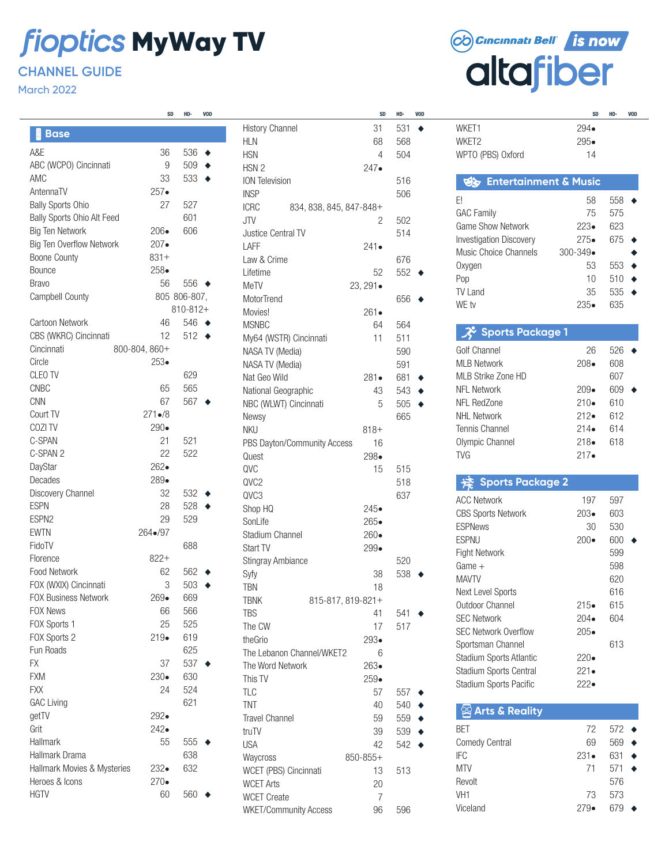# **fioptics MyWay TV**

## **CHANNEL GUIDE**

March 2022

|                                 | SD            | HD٠          | VUD |                          |
|---------------------------------|---------------|--------------|-----|--------------------------|
| Į<br><b>Base</b>                |               |              |     | History (                |
| A&E                             | 36            | 536          | ٠   | <b>HLN</b><br><b>HSN</b> |
| ABC (WCPO) Cincinnati           | 9             | 509          |     | HSN 2                    |
| AMC                             | 33            | 533          |     | ION Tele                 |
| AntennaTV                       | $257 \bullet$ |              |     | <b>INSP</b>              |
| <b>Bally Sports Ohio</b>        | 27            | 527          |     | <b>ICRC</b>              |
| Bally Sports Ohio Alt Feed      |               | 601          |     | JTV                      |
| <b>Big Ten Network</b>          | $206\bullet$  | 606          |     | Justice (                |
| <b>Big Ten Overflow Network</b> | $207 \bullet$ |              |     | LAFF                     |
| <b>Boone County</b>             | $831+$        |              |     | Law & C                  |
| Bounce                          | $258\bullet$  |              |     | Lifetime                 |
| <b>Bravo</b>                    | 56            | 556          |     | MeTV                     |
| Campbell County                 |               | 805 806-807, |     | MotorTre                 |
|                                 |               | 810-812+     |     | Movies!                  |
| <b>Cartoon Network</b>          | 46            | 546          |     | <b>MSNBC</b>             |
| CBS (WKRC) Cincinnati           | 12            | 512          |     | My64 (V                  |
| Cincinnati                      | 800-804, 860+ |              |     | NASA TV                  |
| Circle                          | $253 \bullet$ |              |     | <b>NASATV</b>            |
| CLEO TV                         |               | 629          |     | Nat Geo                  |
| <b>CNBC</b>                     | 65            | 565          |     | National                 |
| <b>CNN</b>                      | 67            | 567          |     | NBC (WL                  |
| Court TV                        | $271 - 8$     |              |     | Newsy                    |
| COZI TV                         | 290•          |              |     | <b>NKU</b>               |
| C-SPAN                          | 21            | 521          |     | PBS Day                  |
| C-SPAN 2                        | 22            | 522          |     | Quest                    |
| DayStar                         | 262•          |              |     | QVC                      |
| Decades                         | 289.          |              |     | QVC2                     |
| Discovery Channel               | 32            | 532          |     | QVC3                     |
| <b>ESPN</b>                     | 28            | 528          |     | Shop HC                  |
| ESPN <sub>2</sub>               | 29            | 529          |     | SonLife                  |
| <b>EWTN</b>                     | 264•/97       |              |     | Stadium                  |
| FidoTV                          |               | 688          |     | Start TV                 |
| Florence                        | $822+$        |              |     | Stingray                 |
| Food Network                    | 62            | 562          |     | Syfy                     |
| FOX (WXIX) Cincinnati           | 3             | 503          |     | <b>TBN</b>               |
| <b>FOX Business Network</b>     | 269.          | 669          |     | <b>TBNK</b>              |
| <b>FOX News</b>                 | 66            | 566          |     | <b>TBS</b>               |
| FOX Sports 1                    | 25            | 525          |     | The CW                   |
| FOX Sports 2                    | $219\bullet$  | 619          |     | theGrio                  |
| Fun Roads                       |               | 625          |     | The Leba                 |
| FX                              | 37            | 537          |     | The Wor                  |
| <b>FXM</b>                      | $230\bullet$  | 630          |     | This TV                  |
| <b>FXX</b>                      | 24            | 524          |     | <b>TLC</b>               |
| <b>GAC Living</b>               |               | 621          |     | <b>TNT</b>               |
| getTV                           | 292•          |              |     | <b>Travel Cl</b>         |
| Grit                            | 242•          |              |     | truTV                    |
| Hallmark                        | 55            | 555          |     | <b>USA</b>               |
| Hallmark Drama                  |               | 638          |     | Waycros                  |
| Hallmark Movies & Mysteries     | 232•          | 632          |     | WCET (F                  |
| Heroes & Icons                  | $270\bullet$  |              |     | <b>WCET AI</b>           |
| <b>HGTV</b>                     | 60            | 560          |     | WCET C                   |
|                                 |               |              |     |                          |

| SD                   | HD·           | <b>VOD</b> |                                        | SD            | HD·        | <b>VOD</b> |
|----------------------|---------------|------------|----------------------------------------|---------------|------------|------------|
|                      |               |            | <b>History Channel</b>                 | 31            | 531        |            |
|                      |               |            | <b>HLN</b>                             | 68            | 568        |            |
| i6                   | 536           | ٠          | <b>HSN</b>                             | 4             | 504        |            |
| 9                    | 509           |            | HSN <sub>2</sub>                       | $247 \bullet$ |            |            |
| IЗ                   | 533           |            | <b>ION Television</b>                  |               | 516        |            |
| ۰.                   |               |            | <b>INSP</b>                            |               | 506        |            |
| $\overline{7}$       | 527           |            | <b>ICRC</b><br>834, 838, 845, 847-848+ |               |            |            |
|                      | 601           |            | <b>JTV</b>                             | 2             | 502        |            |
| i.<br>.<br>•         | 606           |            | Justice Central TV                     |               | 514        |            |
|                      |               |            | I AFF                                  | $241\bullet$  |            |            |
| $^{+}$<br>۱          |               |            | Law & Crime                            |               | 676        |            |
| i6                   | 556           |            | Lifetime                               | 52            | 552        |            |
|                      | 5 806-807,    |            | MeTV                                   | 23, 291•      |            |            |
|                      | $810 - 812 +$ |            | <b>MotorTrend</b>                      |               | 656        |            |
| 6                    | 546           | $\bullet$  | Movies!                                | $261 \bullet$ |            |            |
| 2                    | 512           |            | <b>MSNBC</b>                           | 64            | 564        |            |
| $^+$                 |               |            | My64 (WSTR) Cincinnati                 | 11            | 511        |            |
| .<br>'               |               |            | NASA TV (Media)                        |               | 590        |            |
|                      | 629           |            | NASA TV (Media)<br>Nat Geo Wild        | $281\bullet$  | 591<br>681 |            |
| i5                   | 565           |            | National Geographic                    | 43            | 543        |            |
| $\overline{7}$       | 567           |            | NBC (WLWT) Cincinnati                  | 5             | 505        |            |
| $\overline{8}$       |               |            | Newsy                                  |               | 665        |            |
| l.                   |               |            | <b>NKU</b>                             | $818 +$       |            |            |
| !1                   | 521           |            | PBS Dayton/Community Access            | 16            |            |            |
| $\overline{2}$       | 522           |            | Quest                                  | 298•          |            |            |
| þ.                   |               |            | QVC                                    | 15            | 515        |            |
| l.                   |               |            | QVC2                                   |               | 518        |            |
| $\overline{2}$       | 532           |            | QVC3                                   |               | 637        |            |
| 8                    | 528           |            | Shop HQ                                | 245•          |            |            |
| 9                    | 529           |            | SonLife                                | 265.          |            |            |
| 17                   |               |            | Stadium Channel                        | 260.          |            |            |
|                      | 688           |            | Start TV                               | 299•          |            |            |
| $^+$                 |               |            | Stingray Ambiance                      |               | 520        |            |
| $\overline{2}$       | 562           |            | Syfy                                   | 38            | 538        |            |
| 3                    | 503           |            | <b>TBN</b>                             | 18            |            |            |
| ۱.                   | 669           |            | 815-817, 819-821+<br>TBNK              |               |            |            |
| i6                   | 566           |            | <b>TBS</b>                             | 41            | 541        |            |
| $\overline{5}$       | 525           |            | The CW                                 | 17            | 517        |            |
| l.                   | 619           |            | theGrio                                | $293\bullet$  |            |            |
|                      | 625           |            | The Lebanon Channel/WKET2              | 6             |            |            |
| 17                   | 537           |            | The Word Network                       | $263\bullet$  |            |            |
| l.<br>$\overline{4}$ | 630           |            | This TV                                | $259\bullet$  |            |            |
|                      | 524           |            | <b>TLC</b>                             | 57            | 557        |            |
|                      | 621           |            | <b>TNT</b>                             | 40            | 540        |            |
| ¦.<br>¦.             |               |            | <b>Travel Channel</b>                  | 59            | 559        |            |
| $\overline{5}$       | 555           |            | truTV                                  | 39            | 539        |            |
|                      | 638           |            | <b>USA</b>                             | 42            | 542        |            |
| ¦.                   | 632           |            | Waycross                               | 850-855+      |            |            |
| ۱.                   |               |            | WCET (PBS) Cincinnati                  | 13            | 513        |            |
| i0                   | 560           |            | <b>WCET Arts</b><br><b>WCET Create</b> | 20<br>7       |            |            |
|                      |               |            | <b>WKET/Community Access</b>           | 96            | 596        |            |
|                      |               |            |                                        |               |            |            |



|                                  | SD                  | HD٠ | VOD |
|----------------------------------|---------------------|-----|-----|
| WKET1                            | 294∙                |     |     |
| WKET2                            | 295•                |     |     |
| WPTO (PBS) Oxford                | 14                  |     |     |
|                                  |                     |     |     |
| <b>Entertainment &amp; Music</b> |                     |     |     |
|                                  |                     |     |     |
| E!                               | 58                  | 558 |     |
| <b>GAC Family</b>                | 75                  | 575 |     |
| <b>Game Show Network</b>         | $223\bullet$        | 623 |     |
| <b>Investigation Discovery</b>   | $275 -$             | 675 |     |
| Music Choice Channels            | $300 - 349 \bullet$ |     |     |
| Oxygen                           | 53                  | 553 |     |
| Pop                              | 10                  | 510 |     |
| <b>TV Land</b>                   | 35                  | 535 |     |
| WE tv                            | $235\bullet$        |     |     |
|                                  |                     | 635 |     |
| <b>3</b> Sports Package 1        |                     |     |     |
| Golf Channel                     | 26                  | 526 |     |
| <b>MI B Network</b>              | $208 -$             |     |     |
|                                  |                     | 608 |     |
| MLB Strike Zone HD               |                     | 607 |     |
| <b>NFL Network</b>               | $209\bullet$        | 609 |     |
| <b>NFL RedZone</b>               | $210\bullet$        | 610 |     |
| <b>NHL Network</b>               | $212\bullet$        | 612 |     |
| <b>Tennis Channel</b>            | $214\bullet$        | 614 |     |
| Olympic Channel                  | $218 -$             | 618 |     |
| <b>TVG</b>                       | $217 -$             |     |     |
| <b>Sports Package 2</b>          |                     |     |     |
|                                  |                     |     |     |
| <b>ACC Network</b>               | 197                 | 597 |     |
| <b>CBS Sports Network</b>        | $203\bullet$        | 603 |     |
| <b>ESPNews</b>                   | 30                  | 530 |     |
| <b>ESPNU</b>                     | 200 $\bullet$       | 600 |     |
| <b>Fight Network</b>             |                     | 599 |     |
| Game +                           |                     | 598 |     |
| <b>MAVTV</b>                     |                     | 620 |     |
| Next Level Sports                |                     | 616 |     |
| Outdoor Channel                  | $215\bullet$        | 615 |     |
| <b>SEC Network</b>               | 204∙                | 604 |     |
| <b>SEC Network Overflow</b>      |                     |     |     |
|                                  | $205\bullet$        |     |     |
| Sportsman Channel                |                     | 613 |     |
| Stadium Sports Atlantic          | 220∙                |     |     |
| Stadium Sports Central           | $221 -$             |     |     |
| Stadium Sports Pacific           | 222∙                |     |     |
| <b>CO Arte &amp; Paglity</b>     |                     |     |     |
|                                  |                     |     |     |

| 72           | $572 \bullet$ |  |
|--------------|---------------|--|
| 69           | 569           |  |
| $231\bullet$ | 631           |  |
| 71           | 571           |  |
|              | 576           |  |
| 73           | 573           |  |
| $279\bullet$ | 67¢           |  |
|              |               |  |